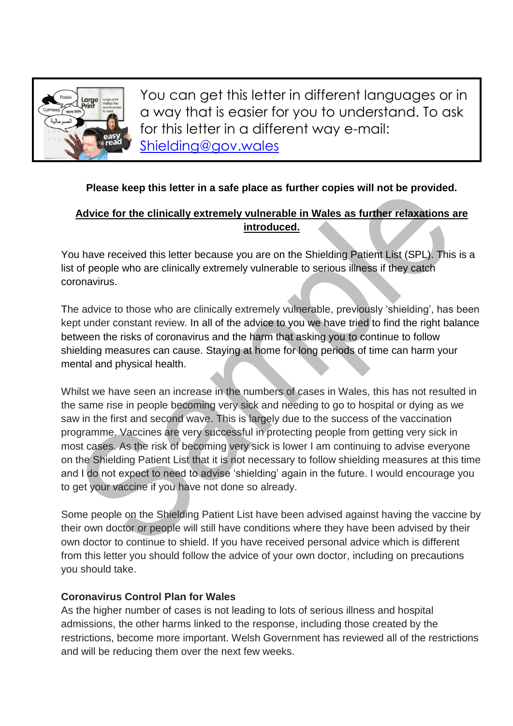

You can get this letter in different languages or in a way that is easier for you to understand. To ask for this letter in a different way e-mail: [Shielding@gov.wales](mailto:Shielding@gov.wales)

### **Please keep this letter in a safe place as further copies will not be provided.**

## **Advice for the clinically extremely vulnerable in Wales as further relaxations are introduced.**

You have received this letter because you are on the Shielding Patient List (SPL). This is a list of people who are clinically extremely vulnerable to serious illness if they catch coronavirus.

The advice to those who are clinically extremely vulnerable, previously 'shielding', has been kept under constant review. In all of the advice to you we have tried to find the right balance between the risks of coronavirus and the harm that asking you to continue to follow shielding measures can cause. Staying at home for long periods of time can harm your mental and physical health.

Whilst we have seen an increase in the numbers of cases in Wales, this has not resulted in the same rise in people becoming very sick and needing to go to hospital or dying as we saw in the first and second wave. This is largely due to the success of the vaccination programme. Vaccines are very successful in protecting people from getting very sick in most cases. As the risk of becoming very sick is lower I am continuing to advise everyone on the Shielding Patient List that it is not necessary to follow shielding measures at this time and I do not expect to need to advise 'shielding' again in the future. I would encourage you to get your vaccine if you have not done so already.

Some people on the Shielding Patient List have been advised against having the vaccine by their own doctor or people will still have conditions where they have been advised by their own doctor to continue to shield. If you have received personal advice which is different from this letter you should follow the advice of your own doctor, including on precautions you should take.

#### **Coronavirus Control Plan for Wales**

As the higher number of cases is not leading to lots of serious illness and hospital admissions, the other harms linked to the response, including those created by the restrictions, become more important. Welsh Government has reviewed all of the restrictions and will be reducing them over the next few weeks.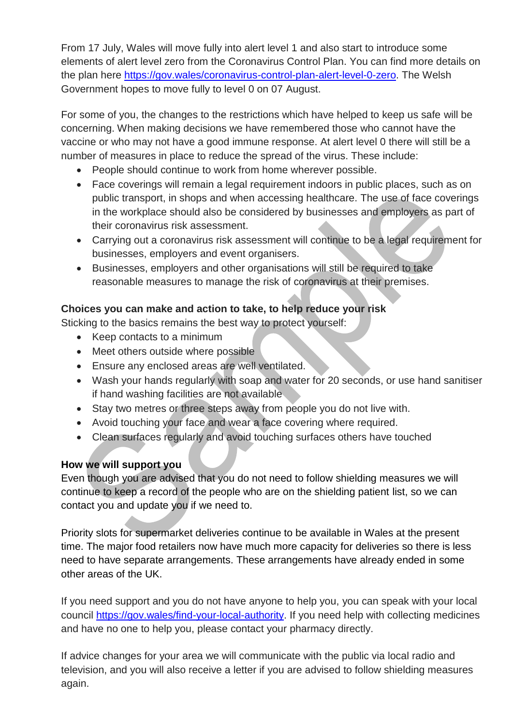From 17 July, Wales will move fully into alert level 1 and also start to introduce some elements of alert level zero from the Coronavirus Control Plan. You can find more details on the plan here [https://gov.wales/coronavirus-control-plan-alert-level-0-zero.](https://gov.wales/coronavirus-control-plan-alert-level-0-zero) The Welsh Government hopes to move fully to level 0 on 07 August.

For some of you, the changes to the restrictions which have helped to keep us safe will be concerning. When making decisions we have remembered those who cannot have the vaccine or who may not have a good immune response. At alert level 0 there will still be a number of measures in place to reduce the spread of the virus. These include:

- People should continue to work from home wherever possible.
- Face coverings will remain a legal requirement indoors in public places, such as on public transport, in shops and when accessing healthcare. The use of face coverings in the workplace should also be considered by businesses and employers as part of their coronavirus risk assessment.
- Carrying out a coronavirus risk assessment will continue to be a legal requirement for businesses, employers and event organisers.
- Businesses, employers and other organisations will still be required to take reasonable measures to manage the risk of coronavirus at their premises.

### **Choices you can make and action to take, to help reduce your risk**

Sticking to the basics remains the best way to protect yourself:

- Keep contacts to a minimum
- Meet others outside where possible
- Ensure any enclosed areas are well ventilated.
- Wash your hands regularly with soap and water for 20 seconds, or use hand sanitiser if hand washing facilities are not available
- Stay two metres or three steps away from people you do not live with.
- Avoid touching your face and wear a face covering where required.
- Clean surfaces regularly and avoid touching surfaces others have touched

## **How we will support you**

Even though you are advised that you do not need to follow shielding measures we will continue to keep a record of the people who are on the shielding patient list, so we can contact you and update you if we need to.

Priority slots for supermarket deliveries continue to be available in Wales at the present time. The major food retailers now have much more capacity for deliveries so there is less need to have separate arrangements. These arrangements have already ended in some other areas of the UK.

If you need support and you do not have anyone to help you, you can speak with your local council [https://gov.wales/find-your-local-authority.](https://gov.wales/find-your-local-authority) If you need help with collecting medicines and have no one to help you, please contact your pharmacy directly.

If advice changes for your area we will communicate with the public via local radio and television, and you will also receive a letter if you are advised to follow shielding measures again.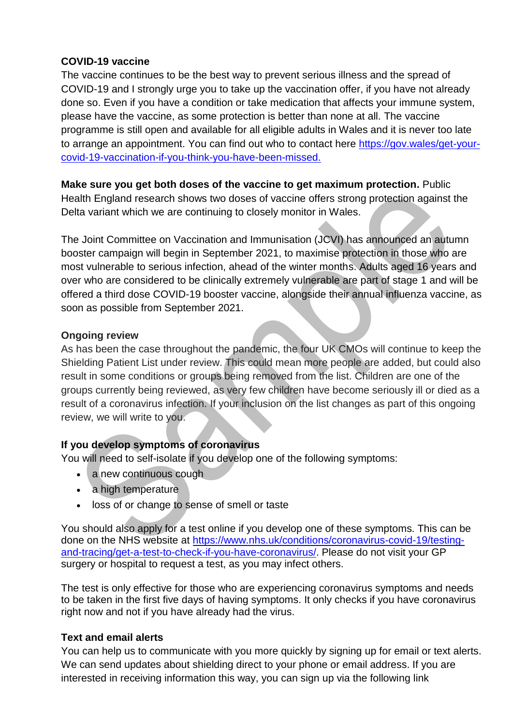#### **COVID-19 vaccine**

The vaccine continues to be the best way to prevent serious illness and the spread of COVID-19 and I strongly urge you to take up the vaccination offer, if you have not already done so. Even if you have a condition or take medication that affects your immune system, please have the vaccine, as some protection is better than none at all. The vaccine programme is still open and available for all eligible adults in Wales and it is never too late to arrange an appointment. You can find out who to contact here [https://gov.wales/get-your](https://eur01.safelinks.protection.outlook.com/?url=https%3A%2F%2Fgov.wales%2Fget-your-covid-19-vaccination-if-you-think-you-have-been-missed&data=04%7C01%7CKaty.Hossack%40gov.wales%7Cdf0ed0c974814def23e108d9476a5070%7Ca2cc36c592804ae78887d06dab89216b%7C0%7C0%7C637619344195793208%7CUnknown%7CTWFpbGZsb3d8eyJWIjoiMC4wLjAwMDAiLCJQIjoiV2luMzIiLCJBTiI6Ik1haWwiLCJXVCI6Mn0%3D%7C1000&sdata=Aw6EUT41bYlh6t91De5UQn2EgsXKVDBDG3304Fw3NlI%3D&reserved=0)[covid-19-vaccination-if-you-think-you-have-been-missed.](https://eur01.safelinks.protection.outlook.com/?url=https%3A%2F%2Fgov.wales%2Fget-your-covid-19-vaccination-if-you-think-you-have-been-missed&data=04%7C01%7CKaty.Hossack%40gov.wales%7Cdf0ed0c974814def23e108d9476a5070%7Ca2cc36c592804ae78887d06dab89216b%7C0%7C0%7C637619344195793208%7CUnknown%7CTWFpbGZsb3d8eyJWIjoiMC4wLjAwMDAiLCJQIjoiV2luMzIiLCJBTiI6Ik1haWwiLCJXVCI6Mn0%3D%7C1000&sdata=Aw6EUT41bYlh6t91De5UQn2EgsXKVDBDG3304Fw3NlI%3D&reserved=0)

#### **Make sure you get both doses of the vaccine to get maximum protection.** Public Health England research shows two doses of vaccine offers strong protection against the Delta variant which we are continuing to closely monitor in Wales.

The Joint Committee on Vaccination and Immunisation (JCVI) has announced an autumn booster campaign will begin in September 2021, to maximise protection in those who are most vulnerable to serious infection, ahead of the winter months. Adults aged 16 years and over who are considered to be clinically extremely vulnerable are part of stage 1 and will be offered a third dose COVID-19 booster vaccine, alongside their annual influenza vaccine, as soon as possible from September 2021.

### **Ongoing review**

As has been the case throughout the pandemic, the four UK CMOs will continue to keep the Shielding Patient List under review. This could mean more people are added, but could also result in some conditions or groups being removed from the list. Children are one of the groups currently being reviewed, as very few children have become seriously ill or died as a result of a coronavirus infection. If your inclusion on the list changes as part of this ongoing review, we will write to you.

### **If you develop symptoms of coronavirus**

You will need to self-isolate if you develop one of the following symptoms:

- a new continuous cough
- a high temperature
- loss of or change to sense of smell or taste

You should also apply for a test online if you develop one of these symptoms. This can be done on the NHS website at [https://www.nhs.uk/conditions/coronavirus-covid-19/testing](https://www.nhs.uk/conditions/coronavirus-covid-19/testing-and-tracing/get-a-test-to-check-if-you-have-coronavirus/)[and-tracing/get-a-test-to-check-if-you-have-coronavirus/.](https://www.nhs.uk/conditions/coronavirus-covid-19/testing-and-tracing/get-a-test-to-check-if-you-have-coronavirus/) Please do not visit your GP surgery or hospital to request a test, as you may infect others.

The test is only effective for those who are experiencing coronavirus symptoms and needs to be taken in the first five days of having symptoms. It only checks if you have coronavirus right now and not if you have already had the virus.

### **Text and email alerts**

You can help us to communicate with you more quickly by signing up for email or text alerts. We can send updates about shielding direct to your phone or email address. If you are interested in receiving information this way, you can sign up via the following link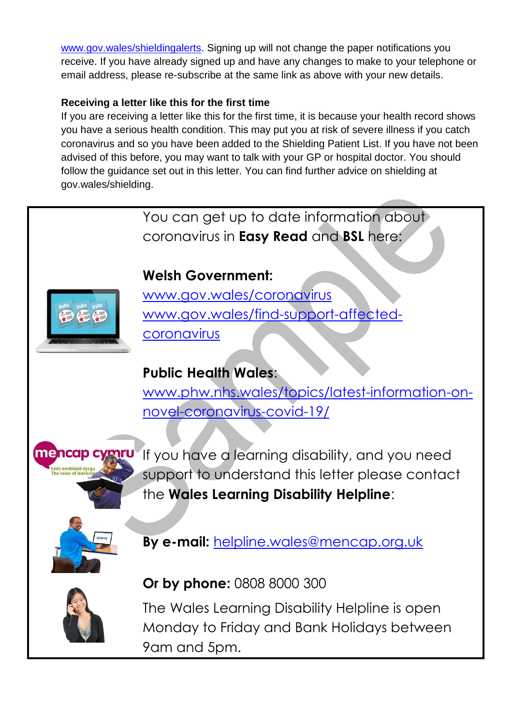[www.gov.wales/shieldingalerts.](http://www.gov.wales/shieldingalerts) Signing up will not change the paper notifications you receive. If you have already signed up and have any changes to make to your telephone or email address, please re-subscribe at the same link as above with your new details.

## **Receiving a letter like this for the first time**

If you are receiving a letter like this for the first time, it is because your health record shows you have a serious health condition. This may put you at risk of severe illness if you catch coronavirus and so you have been added to the Shielding Patient List. If you have not been advised of this before, you may want to talk with your GP or hospital doctor. You should follow the guidance set out in this letter. You can find further advice on shielding at gov.wales/shielding.

> You can get up to date information about coronavirus in **Easy Read** and **BSL** here:



# **Welsh Government:**

[www.gov.wales/coronavirus](http://www.gov.wales/coronavirus) [www.gov.wales/find-support-affected](http://www.gov.wales/find-support-affected-coronavirus)[coronavirus](http://www.gov.wales/find-support-affected-coronavirus)

# **Public Health Wales**:

[www.phw.nhs.wales/topics/latest-information-on](http://www.phw.nhs.wales/topics/latest-information-on-novel-coronavirus-covid-19/)[novel-coronavirus-covid-19/](http://www.phw.nhs.wales/topics/latest-information-on-novel-coronavirus-covid-19/)



If you have a learning disability, and you need support to understand this letter please contact the **Wales Learning Disability Helpline**:



**By e-mail:** [helpline.wales@mencap.org.uk](mailto:helpline.wales@mencap.org.uk)



# **Or by phone:** 0808 8000 300

The Wales Learning Disability Helpline is open Monday to Friday and Bank Holidays between 9am and 5pm.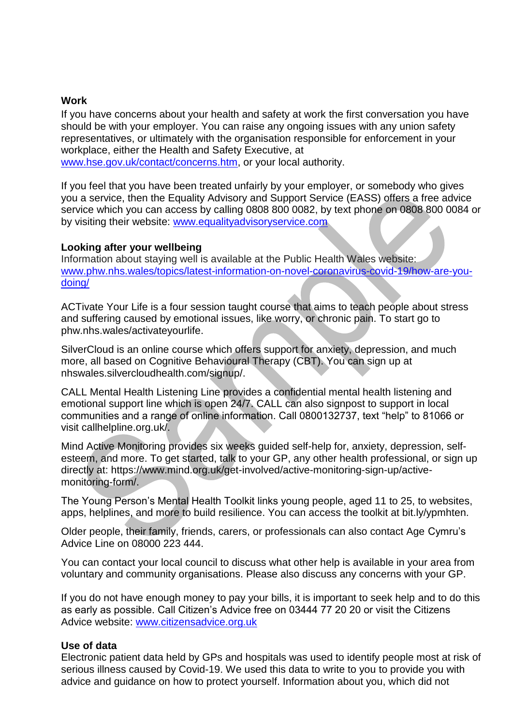#### **Work**

If you have concerns about your health and safety at work the first conversation you have should be with your employer. You can raise any ongoing issues with any union safety representatives, or ultimately with the organisation responsible for enforcement in your workplace, either the Health and Safety Executive, at

[www.hse.gov.uk/contact/concerns.htm,](http://www.hse.gov.uk/contact/concerns.htm) or your local authority.

If you feel that you have been treated unfairly by your employer, or somebody who gives you a service, then the Equality Advisory and Support Service (EASS) offers a free advice service which you can access by calling 0808 800 0082, by text phone on 0808 800 0084 or by visiting their website: [www.equalityadvisoryservice.com](https://eur01.safelinks.protection.outlook.com/?url=http%3A%2F%2Fwww.equalityadvisoryservice.com%2F&data=02%7C01%7Ckaty.hossack%40gov.wales%7C875585d9f015445e62df08d803ceb6e6%7Ca2cc36c592804ae78887d06dab89216b%7C0%7C0%7C637263533663378429&sdata=pdSiS%2FE50yhRioiR7cnosrcpjaord888fiBqY7qME34%3D&reserved=0)

#### **Looking after your wellbeing**

Information about staying well is available at the Public Health Wales website: [www.phw.nhs.wales/topics/latest-information-on-novel-coronavirus-covid-19/how-are-you](http://www.phw.nhs.wales/topics/latest-information-on-novel-coronavirus-covid-19/how-are-you-doing/)[doing/](http://www.phw.nhs.wales/topics/latest-information-on-novel-coronavirus-covid-19/how-are-you-doing/)

ACTivate Your Life is a four session taught course that aims to teach people about stress and suffering caused by emotional issues, like worry, or chronic pain. To start go to phw.nhs.wales/activateyourlife.

SilverCloud is an online course which offers support for anxiety, depression, and much more, all based on Cognitive Behavioural Therapy (CBT). You can sign up at nhswales.silvercloudhealth.com/signup/.

CALL Mental Health Listening Line provides a confidential mental health listening and emotional support line which is open 24/7. CALL can also signpost to support in local communities and a range of online information. Call 0800132737, text "help" to 81066 or visit callhelpline.org.uk/.

Mind Active Monitoring provides six weeks guided self-help for, anxiety, depression, selfesteem, and more. To get started, talk to your GP, any other health professional, or sign up directly at: https://www.mind.org.uk/get-involved/active-monitoring-sign-up/activemonitoring-form/.

The Young Person's Mental Health Toolkit links young people, aged 11 to 25, to websites, apps, helplines, and more to build resilience. You can access the toolkit at bit.ly/ypmhten.

Older people, their family, friends, carers, or professionals can also contact Age Cymru's Advice Line on 08000 223 444.

You can contact your local council to discuss what other help is available in your area from voluntary and community organisations. Please also discuss any concerns with your GP.

If you do not have enough money to pay your bills, it is important to seek help and to do this as early as possible. Call Citizen's Advice free on 03444 77 20 20 or visit the Citizens Advice website: [www.citizensadvice.org.uk](http://www.citizensadvice.org.uk/)

#### **Use of data**

Electronic patient data held by GPs and hospitals was used to identify people most at risk of serious illness caused by Covid-19. We used this data to write to you to provide you with advice and guidance on how to protect yourself. Information about you, which did not